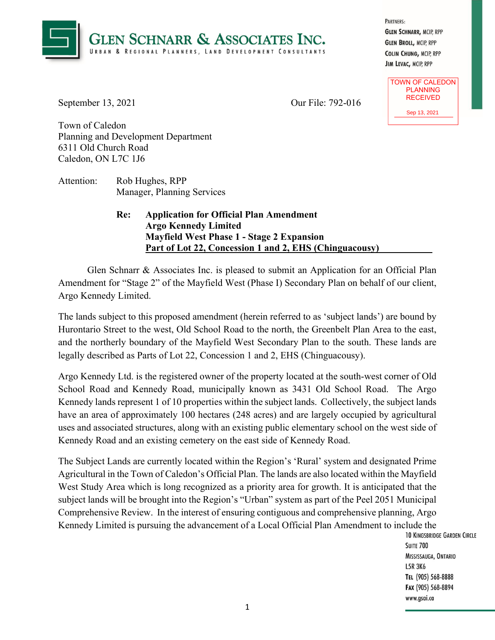

PARTNERS: **GLEN SCHNARR, MCIP, RPP GLEN BROLL, MCIP, RPP** COLIN CHUNG, MCIP, RPP JIM LEVAC, MCIP, RPP

TOWN OF CALEDON PLANNING **RECEIVED** Sep 13, 2021

September 13, 2021 Our File: 792-016

Town of Caledon Planning and Development Department 6311 Old Church Road Caledon, ON L7C 1J6

Attention: Rob Hughes, RPP Manager, Planning Services

> **Re: Application for Official Plan Amendment Argo Kennedy Limited Mayfield West Phase 1 - Stage 2 Expansion** Part of Lot 22, Concession 1 and 2, EHS (Chinguacousy)

Glen Schnarr & Associates Inc. is pleased to submit an Application for an Official Plan Amendment for "Stage 2" of the Mayfield West (Phase I) Secondary Plan on behalf of our client, Argo Kennedy Limited.

The lands subject to this proposed amendment (herein referred to as 'subject lands') are bound by Hurontario Street to the west, Old School Road to the north, the Greenbelt Plan Area to the east, and the northerly boundary of the Mayfield West Secondary Plan to the south. These lands are legally described as Parts of Lot 22, Concession 1 and 2, EHS (Chinguacousy).

Argo Kennedy Ltd. is the registered owner of the property located at the south-west corner of Old School Road and Kennedy Road, municipally known as 3431 Old School Road. The Argo Kennedy lands represent 1 of 10 properties within the subject lands. Collectively, the subject lands have an area of approximately 100 hectares (248 acres) and are largely occupied by agricultural uses and associated structures, along with an existing public elementary school on the west side of Kennedy Road and an existing cemetery on the east side of Kennedy Road.

The Subject Lands are currently located within the Region's 'Rural' system and designated Prime Agricultural in the Town of Caledon's Official Plan. The lands are also located within the Mayfield West Study Area which is long recognized as a priority area for growth. It is anticipated that the subject lands will be brought into the Region's "Urban" system as part of the Peel 2051 Municipal Comprehensive Review. In the interest of ensuring contiguous and comprehensive planning, Argo Kennedy Limited is pursuing the advancement of a Local Official Plan Amendment to include the

**10 KINGSBRIDGE GARDEN CIRCLE SUITE 700** MISSISSAUGA, ONTARIO **L5R 3K6** TEL (905) 568-8888 Fax (905) 568-8894 www.gsai.ca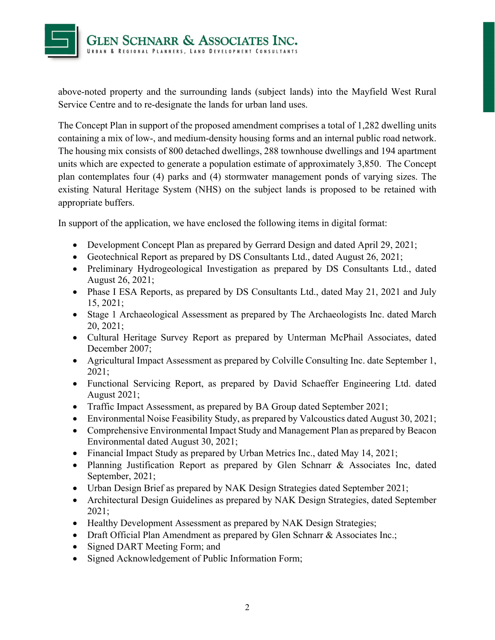

above-noted property and the surrounding lands (subject lands) into the Mayfield West Rural Service Centre and to re-designate the lands for urban land uses.

The Concept Plan in support of the proposed amendment comprises a total of 1,282 dwelling units containing a mix of low-, and medium-density housing forms and an internal public road network. The housing mix consists of 800 detached dwellings, 288 townhouse dwellings and 194 apartment units which are expected to generate a population estimate of approximately 3,850. The Concept plan contemplates four (4) parks and (4) stormwater management ponds of varying sizes. The existing Natural Heritage System (NHS) on the subject lands is proposed to be retained with appropriate buffers.

In support of the application, we have enclosed the following items in digital format:

- Development Concept Plan as prepared by Gerrard Design and dated April 29, 2021;
- Geotechnical Report as prepared by DS Consultants Ltd., dated August 26, 2021;
- Preliminary Hydrogeological Investigation as prepared by DS Consultants Ltd., dated August 26, 2021;
- Phase I ESA Reports, as prepared by DS Consultants Ltd., dated May 21, 2021 and July 15, 2021;
- Stage 1 Archaeological Assessment as prepared by The Archaeologists Inc. dated March 20, 2021;
- Cultural Heritage Survey Report as prepared by Unterman McPhail Associates, dated December 2007;
- Agricultural Impact Assessment as prepared by Colville Consulting Inc. date September 1, 2021;
- Functional Servicing Report, as prepared by David Schaeffer Engineering Ltd. dated August 2021;
- Traffic Impact Assessment, as prepared by BA Group dated September 2021;
- Environmental Noise Feasibility Study, as prepared by Valcoustics dated August 30, 2021;
- Comprehensive Environmental Impact Study and Management Plan as prepared by Beacon Environmental dated August 30, 2021;
- Financial Impact Study as prepared by Urban Metrics Inc., dated May 14, 2021;
- Planning Justification Report as prepared by Glen Schnarr & Associates Inc, dated September, 2021;
- Urban Design Brief as prepared by NAK Design Strategies dated September 2021;
- Architectural Design Guidelines as prepared by NAK Design Strategies, dated September 2021;
- Healthy Development Assessment as prepared by NAK Design Strategies;
- Draft Official Plan Amendment as prepared by Glen Schnarr & Associates Inc.;
- Signed DART Meeting Form; and
- Signed Acknowledgement of Public Information Form;